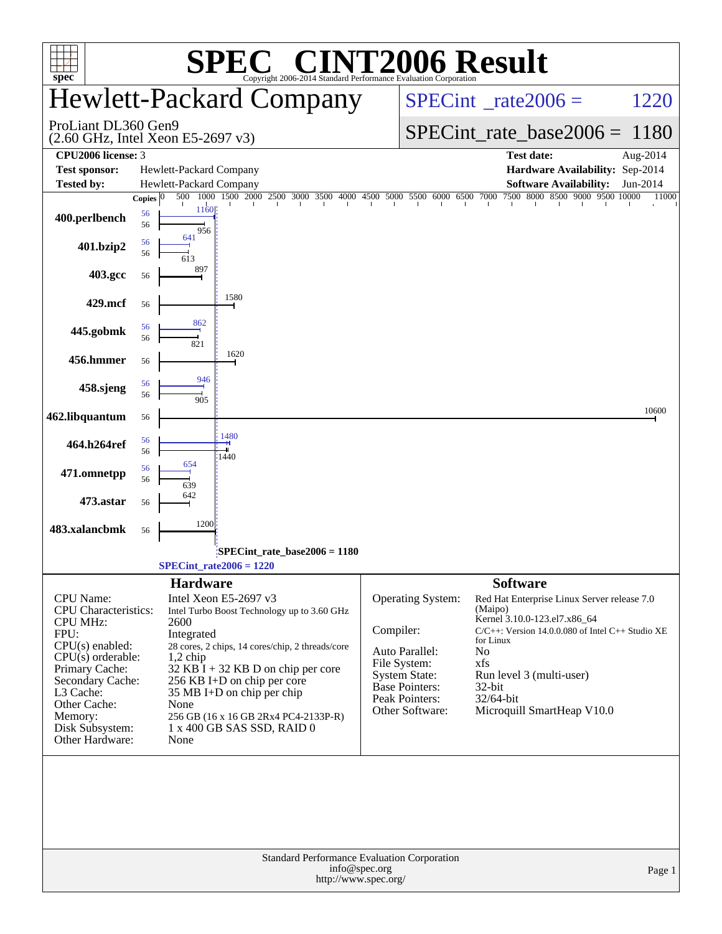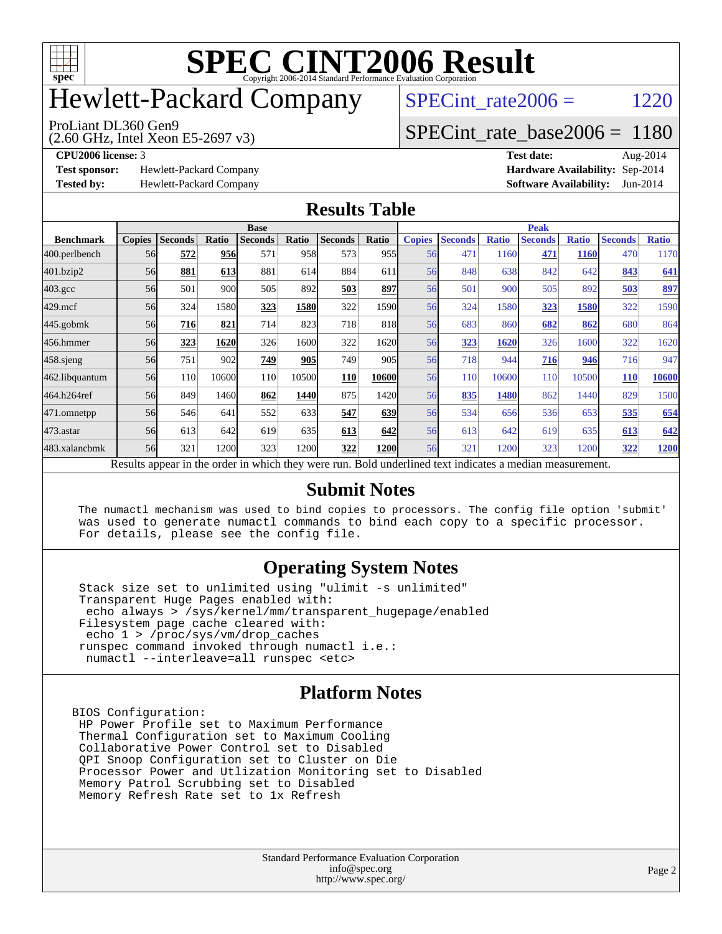

# Hewlett-Packard Company

SPECint rate $2006 = 1220$ 

ProLiant DL360 Gen9

[SPECint\\_rate\\_base2006 =](http://www.spec.org/auto/cpu2006/Docs/result-fields.html#SPECintratebase2006) 1180

**[Test sponsor:](http://www.spec.org/auto/cpu2006/Docs/result-fields.html#Testsponsor)** Hewlett-Packard Company **[Hardware Availability:](http://www.spec.org/auto/cpu2006/Docs/result-fields.html#HardwareAvailability)** Sep-2014

(2.60 GHz, Intel Xeon E5-2697 v3)

**[CPU2006 license:](http://www.spec.org/auto/cpu2006/Docs/result-fields.html#CPU2006license)** 3 **[Test date:](http://www.spec.org/auto/cpu2006/Docs/result-fields.html#Testdate)** Aug-2014 **[Tested by:](http://www.spec.org/auto/cpu2006/Docs/result-fields.html#Testedby)** Hewlett-Packard Company **[Software Availability:](http://www.spec.org/auto/cpu2006/Docs/result-fields.html#SoftwareAvailability)** Jun-2014

#### **[Results Table](http://www.spec.org/auto/cpu2006/Docs/result-fields.html#ResultsTable)**

|                  | <b>Base</b>   |                |       |                                                                                                          |       |                |            | <b>Peak</b>   |                |              |                |              |                |              |
|------------------|---------------|----------------|-------|----------------------------------------------------------------------------------------------------------|-------|----------------|------------|---------------|----------------|--------------|----------------|--------------|----------------|--------------|
| <b>Benchmark</b> | <b>Copies</b> | <b>Seconds</b> | Ratio | <b>Seconds</b>                                                                                           | Ratio | <b>Seconds</b> | Ratio      | <b>Copies</b> | <b>Seconds</b> | <b>Ratio</b> | <b>Seconds</b> | <b>Ratio</b> | <b>Seconds</b> | <b>Ratio</b> |
| 400.perlbench    | 56            | 572            | 956   | 571                                                                                                      | 958   | 573            | 955        | 56            | 471            | 1160         | 471            | <b>1160</b>  | 470            | 1170         |
| 401.bzip2        | 56            | 881            | 613   | 881                                                                                                      | 614   | 884            | 611        | 56            | 848            | 638          | 842            | 642          | 843            | 641          |
| $403.\text{gcc}$ | 56            | 501            | 900   | 505                                                                                                      | 892   | 503            | 897        | 56            | 501            | 900          | 505            | 892          | 503            | 897          |
| $429$ .mcf       | 56            | 324            | 1580  | 323                                                                                                      | 1580  | 322            | 1590       | 56            | 324            | 1580         | 323            | 1580         | 322            | 1590         |
| $445$ .gobmk     | 56            | 716            | 821   | 714                                                                                                      | 823   | 718            | 818        | 56            | 683            | 860          | 682            | 862          | 680            | 864          |
| 456.hmmer        | 56            | 323            | 1620  | 326                                                                                                      | 1600  | 322            | 1620       | 56            | 323            | 1620         | 326            | 1600         | 322            | 1620         |
| $458$ .sjeng     | 56            | 751            | 902   | 749                                                                                                      | 905   | 749            | 905        | 56            | 718            | 944          | 716            | 946          | 716            | 947          |
| 462.libquantum   | 56            | 110            | 10600 | <b>110</b>                                                                                               | 10500 | 110            | 10600      | 56            | 110            | 10600        | 110            | 10500        | <b>110</b>     | 10600        |
| 464.h264ref      | 56            | 849            | 1460  | 862                                                                                                      | 1440  | 875            | 1420       | 56            | 835            | 1480         | 862            | 1440         | 829            | 1500         |
| 471.omnetpp      | 56            | 546            | 641   | 552                                                                                                      | 633   | 547            | 639        | 56            | 534            | 656          | 536            | 653          | 535            | 654          |
| $473$ . astar    | 56            | 613            | 642   | 619                                                                                                      | 635   | 613            | <b>642</b> | 56            | 613            | 642          | 619            | 635          | 613            | 642          |
| 483.xalancbmk    | 56            | 321            | 1200  | 323                                                                                                      | 1200  | 322            | 1200       | 56            | 321            | 1200         | 323            | 1200         | 322            | 1200         |
|                  |               |                |       | Results appear in the order in which they were run. Bold underlined text indicates a median measurement. |       |                |            |               |                |              |                |              |                |              |

#### **[Submit Notes](http://www.spec.org/auto/cpu2006/Docs/result-fields.html#SubmitNotes)**

 The numactl mechanism was used to bind copies to processors. The config file option 'submit' was used to generate numactl commands to bind each copy to a specific processor. For details, please see the config file.

#### **[Operating System Notes](http://www.spec.org/auto/cpu2006/Docs/result-fields.html#OperatingSystemNotes)**

 Stack size set to unlimited using "ulimit -s unlimited" Transparent Huge Pages enabled with: echo always > /sys/kernel/mm/transparent\_hugepage/enabled Filesystem page cache cleared with: echo 1 > /proc/sys/vm/drop\_caches runspec command invoked through numactl i.e.: numactl --interleave=all runspec <etc>

#### **[Platform Notes](http://www.spec.org/auto/cpu2006/Docs/result-fields.html#PlatformNotes)**

BIOS Configuration: HP Power Profile set to Maximum Performance Thermal Configuration set to Maximum Cooling Collaborative Power Control set to Disabled QPI Snoop Configuration set to Cluster on Die Processor Power and Utlization Monitoring set to Disabled Memory Patrol Scrubbing set to Disabled Memory Refresh Rate set to 1x Refresh

> Standard Performance Evaluation Corporation [info@spec.org](mailto:info@spec.org) <http://www.spec.org/>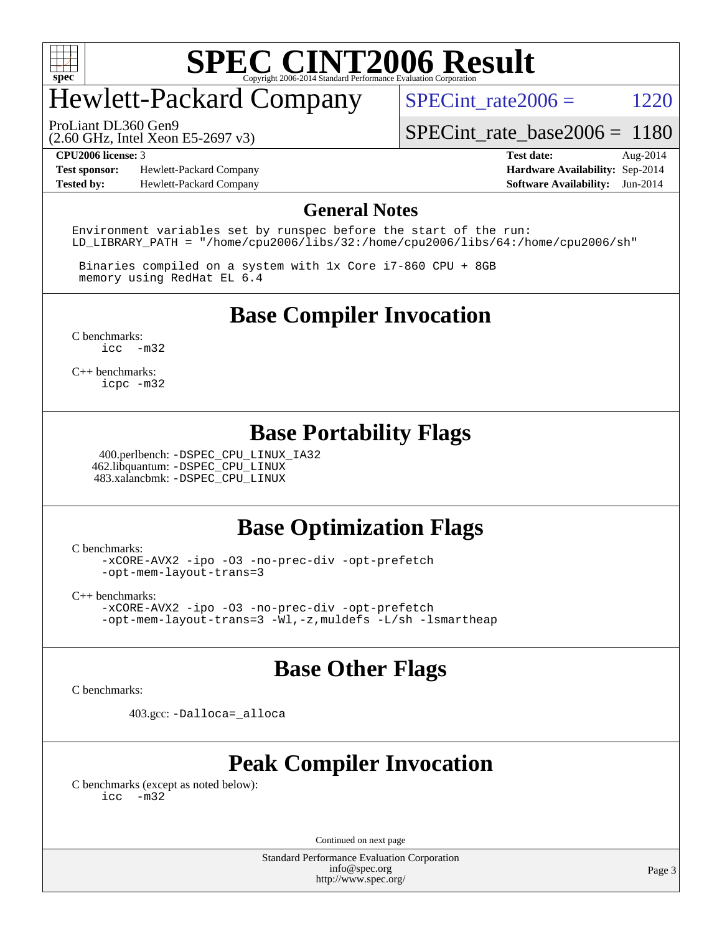

## Hewlett-Packard Company

SPECint rate $2006 = 1220$ 

ProLiant DL360 Gen9

(2.60 GHz, Intel Xeon E5-2697 v3)

[SPECint\\_rate\\_base2006 =](http://www.spec.org/auto/cpu2006/Docs/result-fields.html#SPECintratebase2006) 1180

**[Test sponsor:](http://www.spec.org/auto/cpu2006/Docs/result-fields.html#Testsponsor)** Hewlett-Packard Company **[Hardware Availability:](http://www.spec.org/auto/cpu2006/Docs/result-fields.html#HardwareAvailability)** Sep-2014 **[Tested by:](http://www.spec.org/auto/cpu2006/Docs/result-fields.html#Testedby)** Hewlett-Packard Company **[Software Availability:](http://www.spec.org/auto/cpu2006/Docs/result-fields.html#SoftwareAvailability)** Jun-2014

**[CPU2006 license:](http://www.spec.org/auto/cpu2006/Docs/result-fields.html#CPU2006license)** 3 **[Test date:](http://www.spec.org/auto/cpu2006/Docs/result-fields.html#Testdate)** Aug-2014

#### **[General Notes](http://www.spec.org/auto/cpu2006/Docs/result-fields.html#GeneralNotes)**

Environment variables set by runspec before the start of the run: LD LIBRARY PATH = "/home/cpu2006/libs/32:/home/cpu2006/libs/64:/home/cpu2006/sh"

 Binaries compiled on a system with 1x Core i7-860 CPU + 8GB memory using RedHat EL 6.4

**[Base Compiler Invocation](http://www.spec.org/auto/cpu2006/Docs/result-fields.html#BaseCompilerInvocation)**

[C benchmarks](http://www.spec.org/auto/cpu2006/Docs/result-fields.html#Cbenchmarks): [icc -m32](http://www.spec.org/cpu2006/results/res2014q3/cpu2006-20140908-31260.flags.html#user_CCbase_intel_icc_5ff4a39e364c98233615fdd38438c6f2)

[C++ benchmarks:](http://www.spec.org/auto/cpu2006/Docs/result-fields.html#CXXbenchmarks) [icpc -m32](http://www.spec.org/cpu2006/results/res2014q3/cpu2006-20140908-31260.flags.html#user_CXXbase_intel_icpc_4e5a5ef1a53fd332b3c49e69c3330699)

#### **[Base Portability Flags](http://www.spec.org/auto/cpu2006/Docs/result-fields.html#BasePortabilityFlags)**

 400.perlbench: [-DSPEC\\_CPU\\_LINUX\\_IA32](http://www.spec.org/cpu2006/results/res2014q3/cpu2006-20140908-31260.flags.html#b400.perlbench_baseCPORTABILITY_DSPEC_CPU_LINUX_IA32) 462.libquantum: [-DSPEC\\_CPU\\_LINUX](http://www.spec.org/cpu2006/results/res2014q3/cpu2006-20140908-31260.flags.html#b462.libquantum_baseCPORTABILITY_DSPEC_CPU_LINUX) 483.xalancbmk: [-DSPEC\\_CPU\\_LINUX](http://www.spec.org/cpu2006/results/res2014q3/cpu2006-20140908-31260.flags.html#b483.xalancbmk_baseCXXPORTABILITY_DSPEC_CPU_LINUX)

#### **[Base Optimization Flags](http://www.spec.org/auto/cpu2006/Docs/result-fields.html#BaseOptimizationFlags)**

[C benchmarks](http://www.spec.org/auto/cpu2006/Docs/result-fields.html#Cbenchmarks):

[-xCORE-AVX2](http://www.spec.org/cpu2006/results/res2014q3/cpu2006-20140908-31260.flags.html#user_CCbase_f-xAVX2_5f5fc0cbe2c9f62c816d3e45806c70d7) [-ipo](http://www.spec.org/cpu2006/results/res2014q3/cpu2006-20140908-31260.flags.html#user_CCbase_f-ipo) [-O3](http://www.spec.org/cpu2006/results/res2014q3/cpu2006-20140908-31260.flags.html#user_CCbase_f-O3) [-no-prec-div](http://www.spec.org/cpu2006/results/res2014q3/cpu2006-20140908-31260.flags.html#user_CCbase_f-no-prec-div) [-opt-prefetch](http://www.spec.org/cpu2006/results/res2014q3/cpu2006-20140908-31260.flags.html#user_CCbase_f-opt-prefetch) [-opt-mem-layout-trans=3](http://www.spec.org/cpu2006/results/res2014q3/cpu2006-20140908-31260.flags.html#user_CCbase_f-opt-mem-layout-trans_a7b82ad4bd7abf52556d4961a2ae94d5)

[C++ benchmarks:](http://www.spec.org/auto/cpu2006/Docs/result-fields.html#CXXbenchmarks)

[-xCORE-AVX2](http://www.spec.org/cpu2006/results/res2014q3/cpu2006-20140908-31260.flags.html#user_CXXbase_f-xAVX2_5f5fc0cbe2c9f62c816d3e45806c70d7) [-ipo](http://www.spec.org/cpu2006/results/res2014q3/cpu2006-20140908-31260.flags.html#user_CXXbase_f-ipo) [-O3](http://www.spec.org/cpu2006/results/res2014q3/cpu2006-20140908-31260.flags.html#user_CXXbase_f-O3) [-no-prec-div](http://www.spec.org/cpu2006/results/res2014q3/cpu2006-20140908-31260.flags.html#user_CXXbase_f-no-prec-div) [-opt-prefetch](http://www.spec.org/cpu2006/results/res2014q3/cpu2006-20140908-31260.flags.html#user_CXXbase_f-opt-prefetch) [-opt-mem-layout-trans=3](http://www.spec.org/cpu2006/results/res2014q3/cpu2006-20140908-31260.flags.html#user_CXXbase_f-opt-mem-layout-trans_a7b82ad4bd7abf52556d4961a2ae94d5) [-Wl,-z,muldefs](http://www.spec.org/cpu2006/results/res2014q3/cpu2006-20140908-31260.flags.html#user_CXXbase_link_force_multiple1_74079c344b956b9658436fd1b6dd3a8a) [-L/sh -lsmartheap](http://www.spec.org/cpu2006/results/res2014q3/cpu2006-20140908-31260.flags.html#user_CXXbase_SmartHeap_32f6c82aa1ed9c52345d30cf6e4a0499)

#### **[Base Other Flags](http://www.spec.org/auto/cpu2006/Docs/result-fields.html#BaseOtherFlags)**

[C benchmarks](http://www.spec.org/auto/cpu2006/Docs/result-fields.html#Cbenchmarks):

403.gcc: [-Dalloca=\\_alloca](http://www.spec.org/cpu2006/results/res2014q3/cpu2006-20140908-31260.flags.html#b403.gcc_baseEXTRA_CFLAGS_Dalloca_be3056838c12de2578596ca5467af7f3)

#### **[Peak Compiler Invocation](http://www.spec.org/auto/cpu2006/Docs/result-fields.html#PeakCompilerInvocation)**

[C benchmarks \(except as noted below\)](http://www.spec.org/auto/cpu2006/Docs/result-fields.html#Cbenchmarksexceptasnotedbelow): [icc -m32](http://www.spec.org/cpu2006/results/res2014q3/cpu2006-20140908-31260.flags.html#user_CCpeak_intel_icc_5ff4a39e364c98233615fdd38438c6f2)

Continued on next page

Standard Performance Evaluation Corporation [info@spec.org](mailto:info@spec.org) <http://www.spec.org/>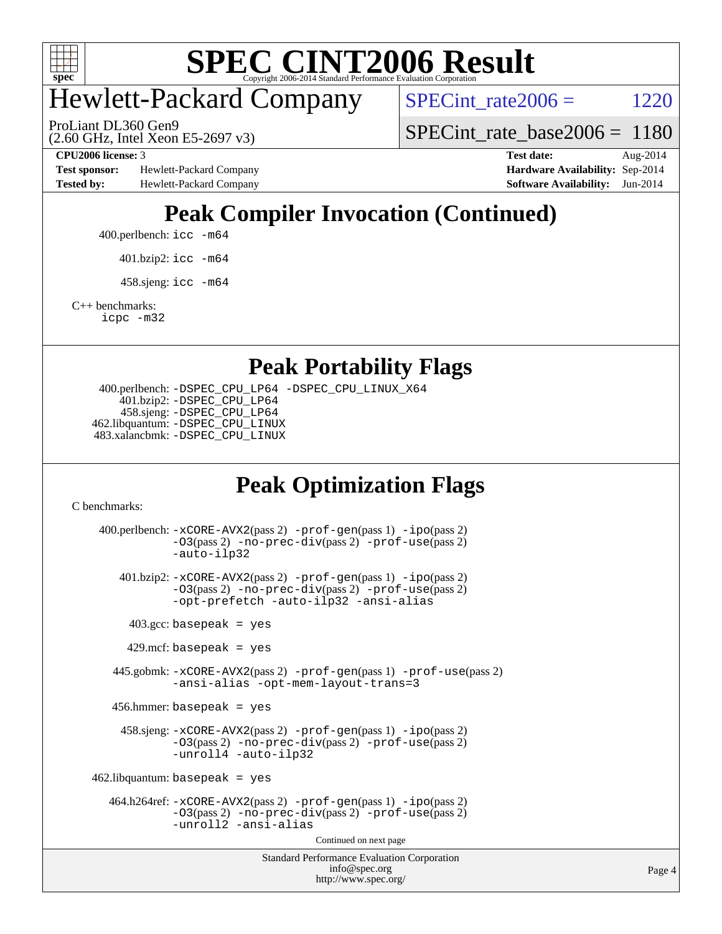

## Hewlett-Packard Company

SPECint rate $2006 = 1220$ 

(2.60 GHz, Intel Xeon E5-2697 v3) ProLiant DL360 Gen9

[SPECint\\_rate\\_base2006 =](http://www.spec.org/auto/cpu2006/Docs/result-fields.html#SPECintratebase2006) 1180

**[Test sponsor:](http://www.spec.org/auto/cpu2006/Docs/result-fields.html#Testsponsor)** Hewlett-Packard Company **[Hardware Availability:](http://www.spec.org/auto/cpu2006/Docs/result-fields.html#HardwareAvailability)** Sep-2014 **[Tested by:](http://www.spec.org/auto/cpu2006/Docs/result-fields.html#Testedby)** Hewlett-Packard Company **[Software Availability:](http://www.spec.org/auto/cpu2006/Docs/result-fields.html#SoftwareAvailability)** Jun-2014

**[CPU2006 license:](http://www.spec.org/auto/cpu2006/Docs/result-fields.html#CPU2006license)** 3 **[Test date:](http://www.spec.org/auto/cpu2006/Docs/result-fields.html#Testdate)** Aug-2014

### **[Peak Compiler Invocation \(Continued\)](http://www.spec.org/auto/cpu2006/Docs/result-fields.html#PeakCompilerInvocation)**

400.perlbench: [icc -m64](http://www.spec.org/cpu2006/results/res2014q3/cpu2006-20140908-31260.flags.html#user_peakCCLD400_perlbench_intel_icc_64bit_bda6cc9af1fdbb0edc3795bac97ada53)

401.bzip2: [icc -m64](http://www.spec.org/cpu2006/results/res2014q3/cpu2006-20140908-31260.flags.html#user_peakCCLD401_bzip2_intel_icc_64bit_bda6cc9af1fdbb0edc3795bac97ada53)

 $458 \text{.}$ sjeng: icc  $-\text{m64}$ 

[C++ benchmarks:](http://www.spec.org/auto/cpu2006/Docs/result-fields.html#CXXbenchmarks)

[icpc -m32](http://www.spec.org/cpu2006/results/res2014q3/cpu2006-20140908-31260.flags.html#user_CXXpeak_intel_icpc_4e5a5ef1a53fd332b3c49e69c3330699)

#### **[Peak Portability Flags](http://www.spec.org/auto/cpu2006/Docs/result-fields.html#PeakPortabilityFlags)**

```
 400.perlbench: -DSPEC_CPU_LP64 -DSPEC_CPU_LINUX_X64
    401.bzip2: -DSPEC_CPU_LP64
    458.sjeng: -DSPEC_CPU_LP64
462.libquantum: -DSPEC_CPU_LINUX
483.xalancbmk: -DSPEC_CPU_LINUX
```
### **[Peak Optimization Flags](http://www.spec.org/auto/cpu2006/Docs/result-fields.html#PeakOptimizationFlags)**

[C benchmarks](http://www.spec.org/auto/cpu2006/Docs/result-fields.html#Cbenchmarks):

```
Standard Performance Evaluation Corporation
                                        info@spec.org
                                      http://www.spec.org/
 400.perlbench: -xCORE-AVX2(pass 2) -prof-gen(pass 1) -ipo(pass 2)
             -O3(pass 2) -no-prec-div(pass 2) -prof-use(pass 2)
             -auto-ilp32
    401.bzip2: -xCORE-AVX2(pass 2) -prof-gen(pass 1) -ipo(pass 2)
             -O3(pass 2) -no-prec-div(pass 2) -prof-use(pass 2)
             -opt-prefetch -auto-ilp32 -ansi-alias
     403.\text{gcc: basepeak} = yes
      429.mcf: basepeak = yes
   445.gobmk: -xCORE-AVX2(pass 2) -prof-gen(pass 1) -prof-use(pass 2)
             -ansi-alias -opt-mem-layout-trans=3
   456.hmmer: basepeak = yes
     458.sjeng: -xCORE-AVX2(pass 2) -prof-gen(pass 1) -ipo(pass 2)
             -O3(pass 2) -no-prec-div(pass 2) -prof-use(pass 2)
             -unroll4 -auto-ilp32
462.libquantum: basepeak = yes
  464.h264ref: -xCORE-AVX2(pass 2) -prof-gen(pass 1) -ipo(pass 2)
             -O3(pass 2) -no-prec-div(pass 2) -prof-use(pass 2)
             -unroll2 -ansi-alias
                                      Continued on next page
```